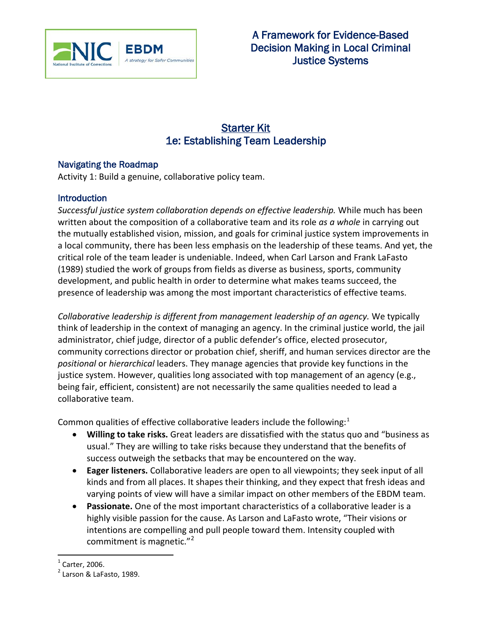

# **Starter Kit** 1e: Establishing Team Leadership

### Navigating the Roadmap

Activity 1: Build a genuine, collaborative policy team.

## **Introduction**

*Successful justice system collaboration depends on effective leadership.* While much has been written about the composition of a collaborative team and its role *as a whole* in carrying out the mutually established vision, mission, and goals for criminal justice system improvements in a local community, there has been less emphasis on the leadership of these teams. And yet, the critical role of the team leader is undeniable. Indeed, when Carl Larson and Frank LaFasto (1989) studied the work of groups from fields as diverse as business, sports, community development, and public health in order to determine what makes teams succeed, the presence of leadership was among the most important characteristics of effective teams.

*Collaborative leadership is different from management leadership of an agency.* We typically think of leadership in the context of managing an agency. In the criminal justice world, the jail administrator, chief judge, director of a public defender's office, elected prosecutor, community corrections director or probation chief, sheriff, and human services director are the *positional* or *hierarchical* leaders. They manage agencies that provide key functions in the justice system. However, qualities long associated with top management of an agency (e.g., being fair, efficient, consistent) are not necessarily the same qualities needed to lead a collaborative team.

Common qualities of effective collaborative leaders include the following: $<sup>1</sup>$  $<sup>1</sup>$  $<sup>1</sup>$ </sup>

- **Willing to take risks.** Great leaders are dissatisfied with the status quo and "business as usual." They are willing to take risks because they understand that the benefits of success outweigh the setbacks that may be encountered on the way.
- **Eager listeners.** Collaborative leaders are open to all viewpoints; they seek input of all kinds and from all places. It shapes their thinking, and they expect that fresh ideas and varying points of view will have a similar impact on other members of the EBDM team.
- **Passionate.** One of the most important characteristics of a collaborative leader is a highly visible passion for the cause. As Larson and LaFasto wrote, "Their visions or intentions are compelling and pull people toward them. Intensity coupled with commitment is magnetic."<sup>[2](#page-0-0)</sup>

 $<sup>1</sup>$  Carter, 2006.</sup>

<span id="page-0-0"></span> $<sup>2</sup>$  Larson & LaFasto, 1989.</sup>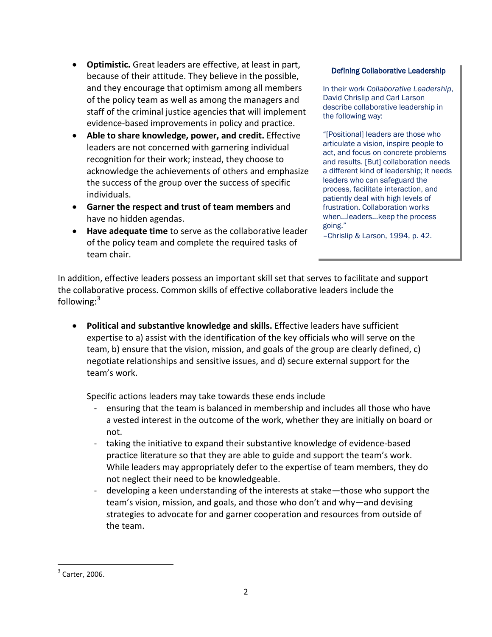- **Optimistic.** Great leaders are effective, at least in part, because of their attitude. They believe in the possible, and they encourage that optimism among all members of the policy team as well as among the managers and staff of the criminal justice agencies that will implement evidence-based improvements in policy and practice.
- **Able to share knowledge, power, and credit.** Effective leaders are not concerned with garnering individual recognition for their work; instead, they choose to acknowledge the achievements of others and emphasize the success of the group over the success of specific individuals.
- **Garner the respect and trust of team members** and have no hidden agendas.
- **Have adequate time** to serve as the collaborative leader of the policy team and complete the required tasks of team chair.

#### Defining Collaborative Leadership

In their work *Collaborative Leadership*, David Chrislip and Carl Larson describe collaborative leadership in the following way:

"[Positional] leaders are those who articulate a vision, inspire people to act, and focus on concrete problems and results. [But] collaboration needs a different kind of leadership; it needs leaders who can safeguard the process, facilitate interaction, and patiently deal with high levels of frustration. Collaboration works when…leaders…keep the process going."

–Chrislip & Larson, 1994, p. 42.

In addition, effective leaders possess an important skill set that serves to facilitate and support the collaborative process. Common skills of effective collaborative leaders include the following: $3$ 

• **Political and substantive knowledge and skills.** Effective leaders have sufficient expertise to a) assist with the identification of the key officials who will serve on the team, b) ensure that the vision, mission, and goals of the group are clearly defined, c) negotiate relationships and sensitive issues, and d) secure external support for the team's work.

Specific actions leaders may take towards these ends include

- ensuring that the team is balanced in membership and includes all those who have a vested interest in the outcome of the work, whether they are initially on board or not.
- taking the initiative to expand their substantive knowledge of evidence-based practice literature so that they are able to guide and support the team's work. While leaders may appropriately defer to the expertise of team members, they do not neglect their need to be knowledgeable.
- developing a keen understanding of the interests at stake—those who support the team's vision, mission, and goals, and those who don't and why—and devising strategies to advocate for and garner cooperation and resources from outside of the team.

 $3$  Carter, 2006.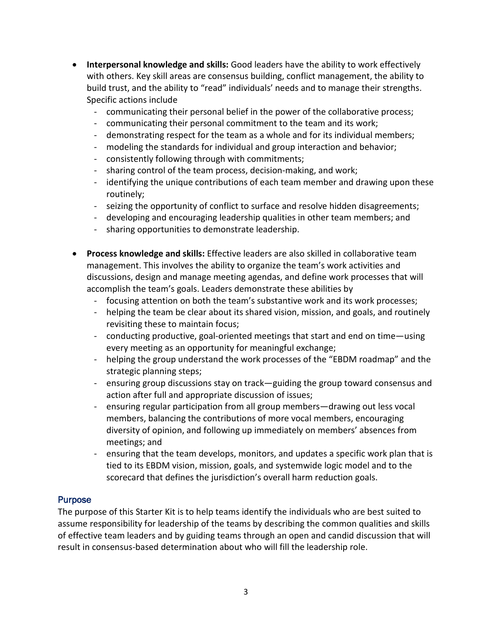- **Interpersonal knowledge and skills:** Good leaders have the ability to work effectively with others. Key skill areas are consensus building, conflict management, the ability to build trust, and the ability to "read" individuals' needs and to manage their strengths. Specific actions include
	- communicating their personal belief in the power of the collaborative process;
	- communicating their personal commitment to the team and its work;
	- demonstrating respect for the team as a whole and for its individual members;
	- modeling the standards for individual and group interaction and behavior;
	- consistently following through with commitments;
	- sharing control of the team process, decision-making, and work;
	- identifying the unique contributions of each team member and drawing upon these routinely;
	- seizing the opportunity of conflict to surface and resolve hidden disagreements;
	- developing and encouraging leadership qualities in other team members; and
	- sharing opportunities to demonstrate leadership.
- **Process knowledge and skills:** Effective leaders are also skilled in collaborative team management. This involves the ability to organize the team's work activities and discussions, design and manage meeting agendas, and define work processes that will accomplish the team's goals. Leaders demonstrate these abilities by
	- focusing attention on both the team's substantive work and its work processes;
	- helping the team be clear about its shared vision, mission, and goals, and routinely revisiting these to maintain focus;
	- conducting productive, goal-oriented meetings that start and end on time—using every meeting as an opportunity for meaningful exchange;
	- helping the group understand the work processes of the "EBDM roadmap" and the strategic planning steps;
	- ensuring group discussions stay on track—guiding the group toward consensus and action after full and appropriate discussion of issues;
	- ensuring regular participation from all group members—drawing out less vocal members, balancing the contributions of more vocal members, encouraging diversity of opinion, and following up immediately on members' absences from meetings; and
	- ensuring that the team develops, monitors, and updates a specific work plan that is tied to its EBDM vision, mission, goals, and systemwide logic model and to the scorecard that defines the jurisdiction's overall harm reduction goals.

#### **Purpose**

The purpose of this Starter Kit is to help teams identify the individuals who are best suited to assume responsibility for leadership of the teams by describing the common qualities and skills of effective team leaders and by guiding teams through an open and candid discussion that will result in consensus-based determination about who will fill the leadership role.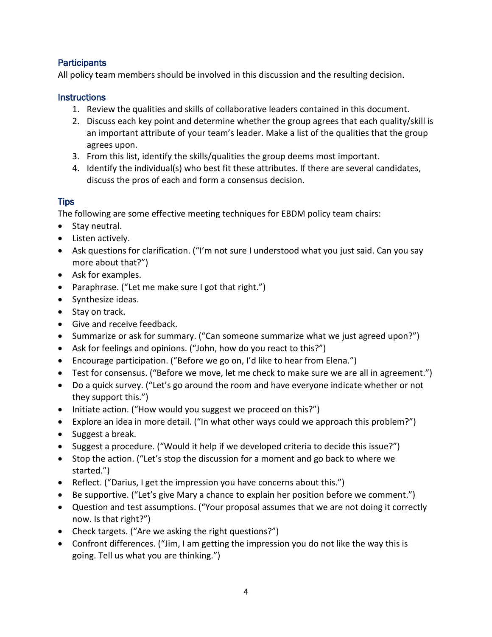## **Participants**

All policy team members should be involved in this discussion and the resulting decision.

## **Instructions**

- 1. Review the qualities and skills of collaborative leaders contained in this document.
- 2. Discuss each key point and determine whether the group agrees that each quality/skill is an important attribute of your team's leader. Make a list of the qualities that the group agrees upon.
- 3. From this list, identify the skills/qualities the group deems most important.
- 4. Identify the individual(s) who best fit these attributes. If there are several candidates, discuss the pros of each and form a consensus decision.

## Tips

The following are some effective meeting techniques for EBDM policy team chairs:

- Stay neutral.
- Listen actively.
- Ask questions for clarification. ("I'm not sure I understood what you just said. Can you say more about that?")
- Ask for examples.
- Paraphrase. ("Let me make sure I got that right.")
- Synthesize ideas.
- Stay on track.
- Give and receive feedback.
- Summarize or ask for summary. ("Can someone summarize what we just agreed upon?")
- Ask for feelings and opinions. ("John, how do you react to this?")
- Encourage participation. ("Before we go on, I'd like to hear from Elena.")
- Test for consensus. ("Before we move, let me check to make sure we are all in agreement.")
- Do a quick survey. ("Let's go around the room and have everyone indicate whether or not they support this.")
- Initiate action. ("How would you suggest we proceed on this?")
- Explore an idea in more detail. ("In what other ways could we approach this problem?")
- Suggest a break.
- Suggest a procedure. ("Would it help if we developed criteria to decide this issue?")
- Stop the action. ("Let's stop the discussion for a moment and go back to where we started.")
- Reflect. ("Darius, I get the impression you have concerns about this.")
- Be supportive. ("Let's give Mary a chance to explain her position before we comment.")
- Question and test assumptions. ("Your proposal assumes that we are not doing it correctly now. Is that right?")
- Check targets. ("Are we asking the right questions?")
- <span id="page-3-0"></span>• Confront differences. ("Jim, I am getting the impression you do not like the way this is going. Tell us what you are thinking.")